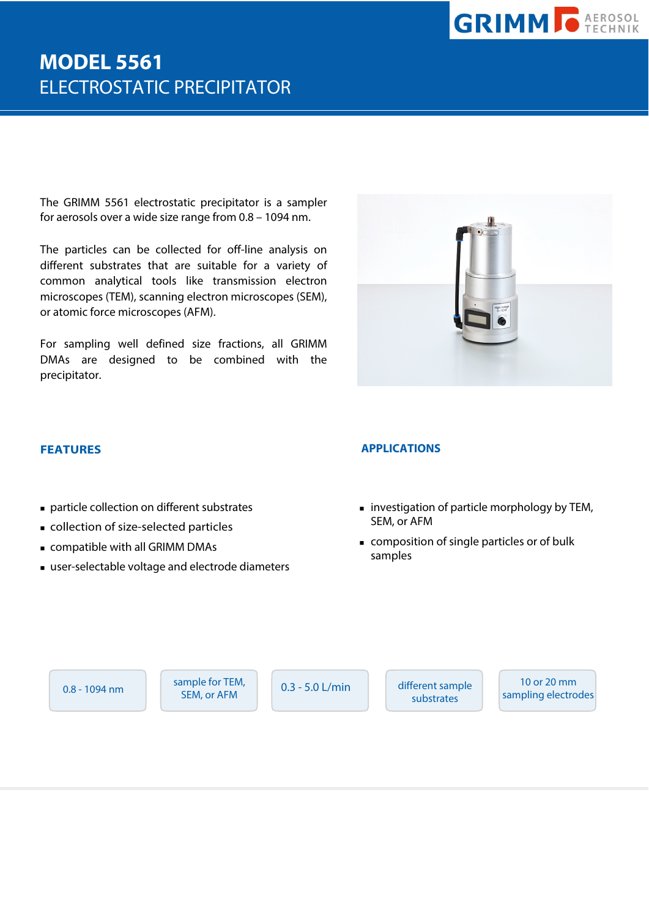

# **MODEL 5561**  ELECTROSTATIC PRECIPITATOR

The GRIMM 5561 electrostatic precipitator is a sampler for aerosols over a wide size range from 0.8 – 1094 nm.

The particles can be collected for off-line analysis on different substrates that are suitable for a variety of common analytical tools like transmission electron microscopes (TEM), scanning electron microscopes (SEM), or atomic force microscopes (AFM).

For sampling well defined size fractions, all GRIMM DMAs are designed to be combined with the precipitator.

- particle collection on different substrates
- collection of size-selected particles
- compatible with all GRIMM DMAs
- user-selectable voltage and electrode diameters

#### **FEATURES APPLICATIONS**

- **investigation of particle morphology by TEM,** SEM, or AFM
- composition of single particles or of bulk samples

0.8 - 1094 nm

sample for TEM, SEM, or AFM

0.3 - 5.0 L/min different sample substrates

10 or 20 mm sampling electrodes